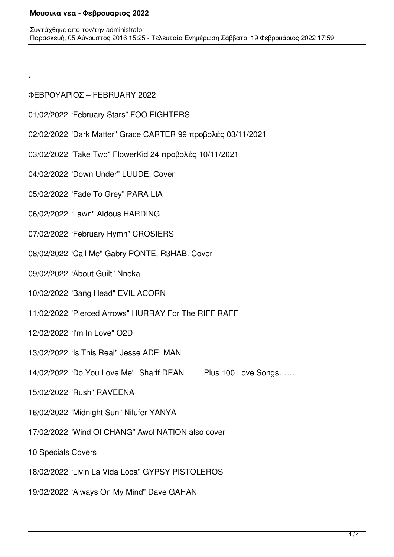# ΦΕΒΡΟΥΑΡΙΟΣ – FEBRUARY 2022

.

- 01/02/2022 "February Stars" FOO FIGHTERS
- 02/02/2022 "Dark Matter" Grace CARTER 99 προβολές 03/11/2021
- 03/02/2022 "Take Two" FlowerKid 24 προβολές 10/11/2021
- 04/02/2022 "Down Under" LUUDE. Cover
- 05/02/2022 "Fade To Grey" PARA LIA
- 06/02/2022 "Lawn" Aldous HARDING
- 07/02/2022 "February Hymn" CROSIERS
- 08/02/2022 "Call Me" Gabry PONTE, R3HAB. Cover
- 09/02/2022 "About Guilt" Nneka
- 10/02/2022 "Bang Head" EVIL ACORN
- 11/02/2022 "Pierced Arrows" HURRAY For The RIFF RAFF
- 12/02/2022 "I'm In Love" O2D
- 13/02/2022 "Is This Real" Jesse ADELMAN
- 14/02/2022 "Do You Love Me" Sharif DEAN Plus 100 Love Songs……
- 15/02/2022 "Rush" RAVEENA
- 16/02/2022 "Midnight Sun" Nilufer YANYA
- 17/02/2022 "Wind Of CHANG" Awol NATION also cover
- 10 Specials Covers
- 18/02/2022 "Livin La Vida Loca" GYPSY PISTOLEROS
- 19/02/2022 "Always On My Mind" Dave GAHAN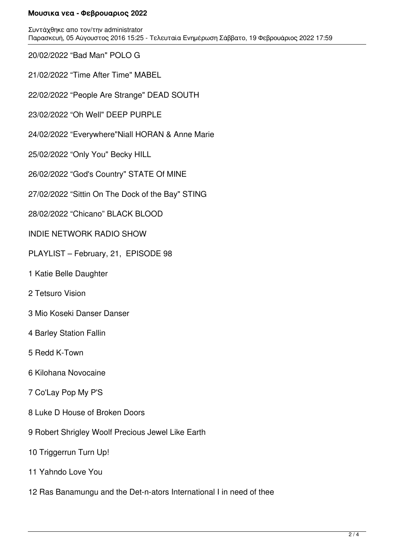Συντάχθηκε απο τον/την administrator Παρασκευή, 05 Αύγουστος 2016 15:25 - Τελευταία Ενημέρωση Σάββατο, 19 Φεβρουάριος 2022 17:59

20/02/2022 "Bad Man" POLO G

21/02/2022 "Time After Time" MABEL

22/02/2022 "People Are Strange" DEAD SOUTH

23/02/2022 "Oh Well" DEEP PURPLE

24/02/2022 "Everywhere"Niall HORAN & Anne Marie

25/02/2022 "Only You" Becky HILL

26/02/2022 "God's Country" STATE Of MINE

27/02/2022 "Sittin On The Dock of the Bay" STING

28/02/2022 "Chicano" BLACK BLOOD

INDIE NETWORK RADIO SHOW

PLAYLIST – February, 21, EPISODE 98

1 Katie Belle Daughter

2 Tetsuro Vision

3 Mio Koseki Danser Danser

4 Barley Station Fallin

5 Redd K-Town

6 Kilohana Novocaine

7 Co'Lay Pop My P'S

8 Luke D House of Broken Doors

9 Robert Shrigley Woolf Precious Jewel Like Earth

10 Triggerrun Turn Up!

11 Yahndo Love You

12 Ras Banamungu and the Det-n-ators International I in need of thee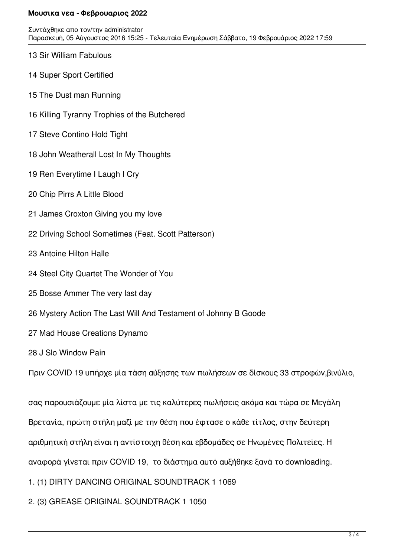Συντάχθηκε απο τον/την administrator Παρασκευή, 05 Αύγουστος 2016 15:25 - Τελευταία Ενημέρωση Σάββατο, 19 Φεβρουάριος 2022 17:59

- 13 Sir William Fabulous
- 14 Super Sport Certified
- 15 The Dust man Running
- 16 Killing Tyranny Trophies of the Butchered
- 17 Steve Contino Hold Tight
- 18 John Weatherall Lost In My Thoughts
- 19 Ren Everytime I Laugh I Cry
- 20 Chip Pirrs A Little Blood
- 21 James Croxton Giving you my love
- 22 Driving School Sometimes (Feat. Scott Patterson)
- 23 Antoine Hilton Halle
- 24 Steel City Quartet The Wonder of You
- 25 Bosse Ammer The very last day
- 26 Mystery Action The Last Will And Testament of Johnny B Goode
- 27 Mad House Creations Dynamo
- 28 J Slo Window Pain

Πριν COVID 19 υπήρχε μία τάση αύξησης των πωλήσεων σε δίσκους 33 στροφών,βινύλιο,

σας παρουσιάζουμε μία λίστα με τις καλύτερες πωλήσεις ακόμα και τώρα σε Μεγάλη Βρετανία, πρώτη στήλη μαζί με την θέση που έφτασε ο κάθε τίτλος, στην δεύτερη αριθμητική στήλη είναι η αντίστοιχη θέση και εβδομάδες σε Ηνωμένες Πολιτείες. Η αναφορά γίνεται πριν COVID 19, το διάστημα αυτό αυξήθηκε ξανά το downloading. 1. (1) DIRTY DANCING ORIGINAL SOUNDTRACK 1 1069

2. (3) GREASE ORIGINAL SOUNDTRACK 1 1050